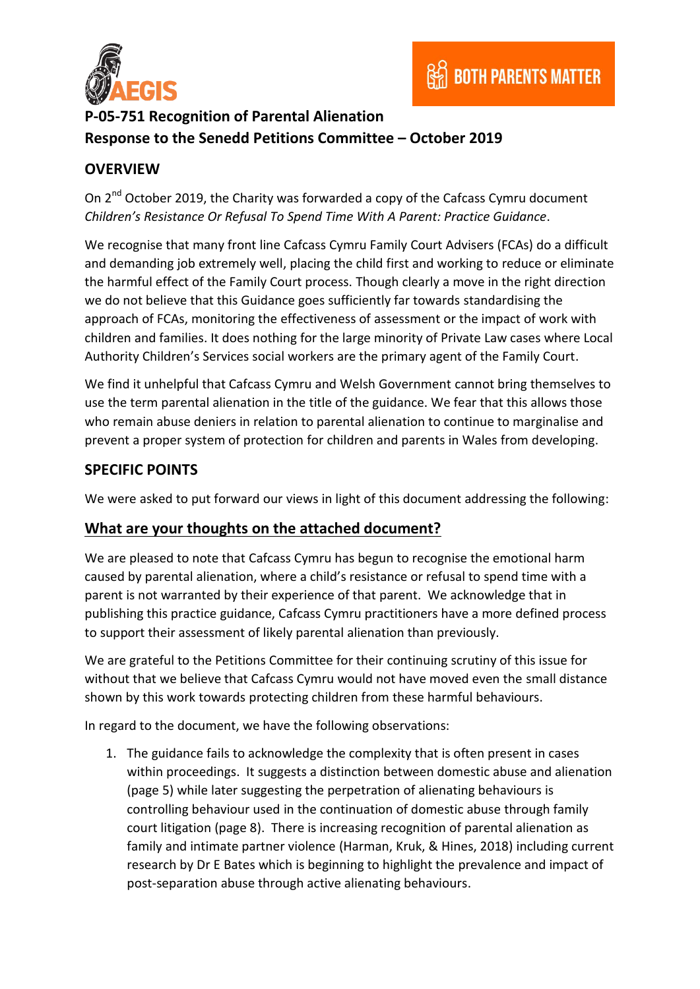

# **P-05-751 Recognition of Parental Alienation Response to the Senedd Petitions Committee – October 2019**

## **OVERVIEW**

On 2<sup>nd</sup> October 2019, the Charity was forwarded a copy of the Cafcass Cymru document *Children's Resistance Or Refusal To Spend Time With A Parent: Practice Guidance*.

We recognise that many front line Cafcass Cymru Family Court Advisers (FCAs) do a difficult and demanding job extremely well, placing the child first and working to reduce or eliminate the harmful effect of the Family Court process. Though clearly a move in the right direction we do not believe that this Guidance goes sufficiently far towards standardising the approach of FCAs, monitoring the effectiveness of assessment or the impact of work with children and families. It does nothing for the large minority of Private Law cases where Local Authority Children's Services social workers are the primary agent of the Family Court.

We find it unhelpful that Cafcass Cymru and Welsh Government cannot bring themselves to use the term parental alienation in the title of the guidance. We fear that this allows those who remain abuse deniers in relation to parental alienation to continue to marginalise and prevent a proper system of protection for children and parents in Wales from developing.

#### **SPECIFIC POINTS**

We were asked to put forward our views in light of this document addressing the following:

#### **What are your thoughts on the attached document?**

We are pleased to note that Cafcass Cymru has begun to recognise the emotional harm caused by parental alienation, where a child's resistance or refusal to spend time with a parent is not warranted by their experience of that parent. We acknowledge that in publishing this practice guidance, Cafcass Cymru practitioners have a more defined process to support their assessment of likely parental alienation than previously.

We are grateful to the Petitions Committee for their continuing scrutiny of this issue for without that we believe that Cafcass Cymru would not have moved even the small distance shown by this work towards protecting children from these harmful behaviours.

In regard to the document, we have the following observations:

1. The guidance fails to acknowledge the complexity that is often present in cases within proceedings. It suggests a distinction between domestic abuse and alienation (page 5) while later suggesting the perpetration of alienating behaviours is controlling behaviour used in the continuation of domestic abuse through family court litigation (page 8). There is increasing recognition of parental alienation as family and intimate partner violence (Harman, Kruk, & Hines, 2018) including current research by Dr E Bates which is beginning to highlight the prevalence and impact of post-separation abuse through active alienating behaviours.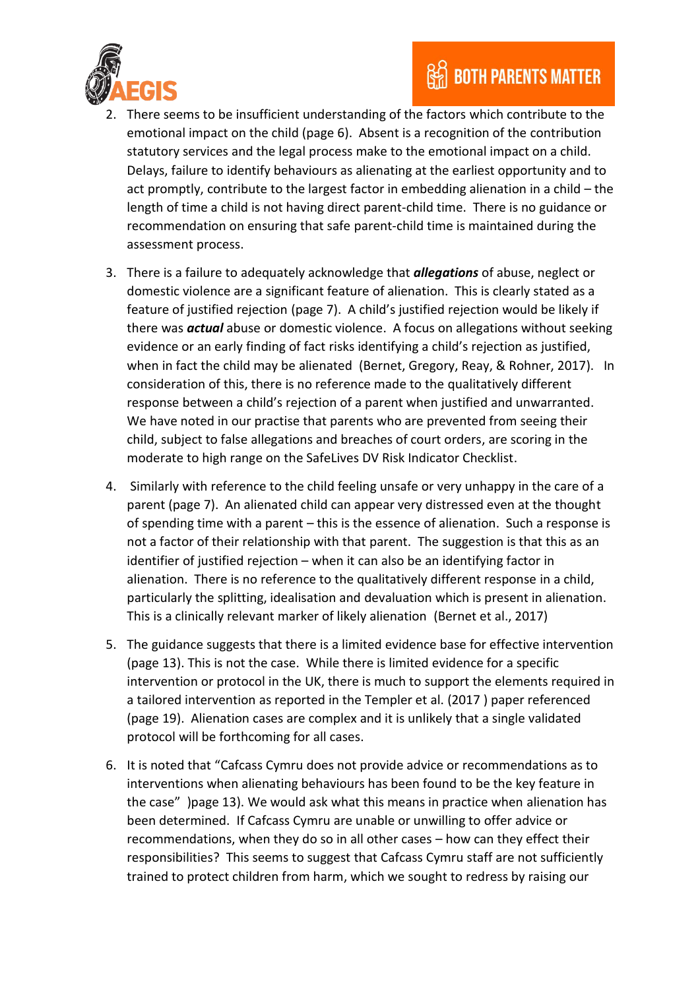

- 2. There seems to be insufficient understanding of the factors which contribute to the emotional impact on the child (page 6). Absent is a recognition of the contribution statutory services and the legal process make to the emotional impact on a child. Delays, failure to identify behaviours as alienating at the earliest opportunity and to act promptly, contribute to the largest factor in embedding alienation in a child – the length of time a child is not having direct parent-child time. There is no guidance or recommendation on ensuring that safe parent-child time is maintained during the assessment process.
- 3. There is a failure to adequately acknowledge that *allegations* of abuse, neglect or domestic violence are a significant feature of alienation. This is clearly stated as a feature of justified rejection (page 7). A child's justified rejection would be likely if there was *actual* abuse or domestic violence. A focus on allegations without seeking evidence or an early finding of fact risks identifying a child's rejection as justified, when in fact the child may be alienated (Bernet, Gregory, Reay, & Rohner, 2017). In consideration of this, there is no reference made to the qualitatively different response between a child's rejection of a parent when justified and unwarranted. We have noted in our practise that parents who are prevented from seeing their child, subject to false allegations and breaches of court orders, are scoring in the moderate to high range on the SafeLives DV Risk Indicator Checklist.
- 4. Similarly with reference to the child feeling unsafe or very unhappy in the care of a parent (page 7). An alienated child can appear very distressed even at the thought of spending time with a parent – this is the essence of alienation. Such a response is not a factor of their relationship with that parent. The suggestion is that this as an identifier of justified rejection – when it can also be an identifying factor in alienation. There is no reference to the qualitatively different response in a child, particularly the splitting, idealisation and devaluation which is present in alienation. This is a clinically relevant marker of likely alienation (Bernet et al., 2017)
- 5. The guidance suggests that there is a limited evidence base for effective intervention (page 13). This is not the case. While there is limited evidence for a specific intervention or protocol in the UK, there is much to support the elements required in a tailored intervention as reported in the Templer et al. (2017 ) paper referenced (page 19). Alienation cases are complex and it is unlikely that a single validated protocol will be forthcoming for all cases.
- 6. It is noted that "Cafcass Cymru does not provide advice or recommendations as to interventions when alienating behaviours has been found to be the key feature in the case" )page 13). We would ask what this means in practice when alienation has been determined. If Cafcass Cymru are unable or unwilling to offer advice or recommendations, when they do so in all other cases – how can they effect their responsibilities? This seems to suggest that Cafcass Cymru staff are not sufficiently trained to protect children from harm, which we sought to redress by raising our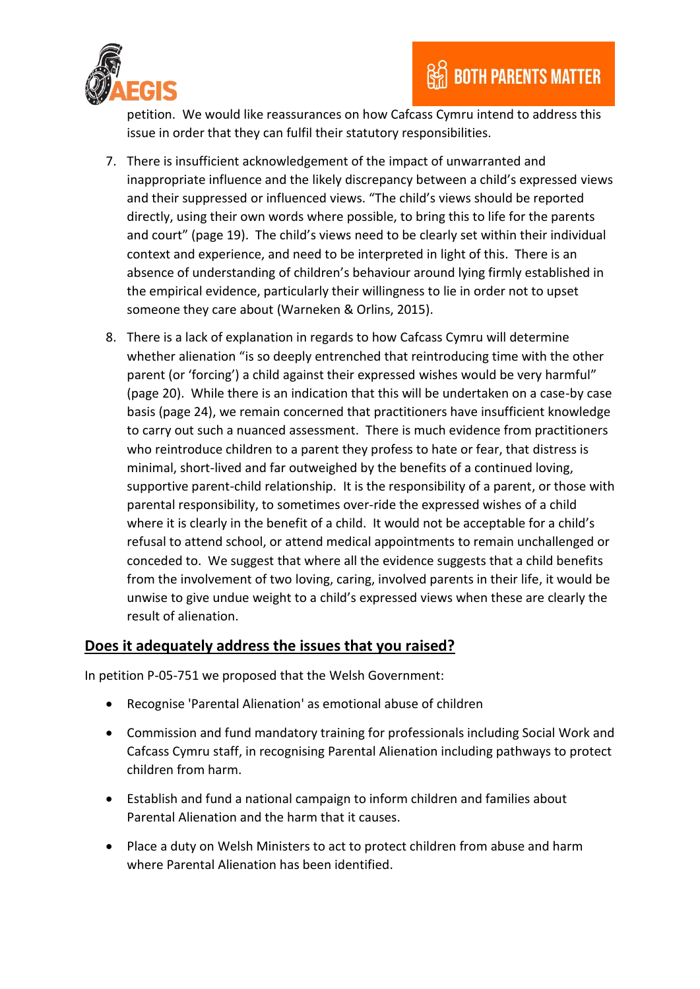

petition. We would like reassurances on how Cafcass Cymru intend to address this issue in order that they can fulfil their statutory responsibilities.

- 7. There is insufficient acknowledgement of the impact of unwarranted and inappropriate influence and the likely discrepancy between a child's expressed views and their suppressed or influenced views. "The child's views should be reported directly, using their own words where possible, to bring this to life for the parents and court" (page 19). The child's views need to be clearly set within their individual context and experience, and need to be interpreted in light of this. There is an absence of understanding of children's behaviour around lying firmly established in the empirical evidence, particularly their willingness to lie in order not to upset someone they care about (Warneken & Orlins, 2015).
- 8. There is a lack of explanation in regards to how Cafcass Cymru will determine whether alienation "is so deeply entrenched that reintroducing time with the other parent (or 'forcing') a child against their expressed wishes would be very harmful" (page 20). While there is an indication that this will be undertaken on a case-by case basis (page 24), we remain concerned that practitioners have insufficient knowledge to carry out such a nuanced assessment. There is much evidence from practitioners who reintroduce children to a parent they profess to hate or fear, that distress is minimal, short-lived and far outweighed by the benefits of a continued loving, supportive parent-child relationship. It is the responsibility of a parent, or those with parental responsibility, to sometimes over-ride the expressed wishes of a child where it is clearly in the benefit of a child. It would not be acceptable for a child's refusal to attend school, or attend medical appointments to remain unchallenged or conceded to. We suggest that where all the evidence suggests that a child benefits from the involvement of two loving, caring, involved parents in their life, it would be unwise to give undue weight to a child's expressed views when these are clearly the result of alienation.

#### **Does it adequately address the issues that you raised?**

In petition P-05-751 we proposed that the Welsh Government:

- Recognise 'Parental Alienation' as emotional abuse of children
- Commission and fund mandatory training for professionals including Social Work and Cafcass Cymru staff, in recognising Parental Alienation including pathways to protect children from harm.
- Establish and fund a national campaign to inform children and families about Parental Alienation and the harm that it causes.
- Place a duty on Welsh Ministers to act to protect children from abuse and harm where Parental Alienation has been identified.